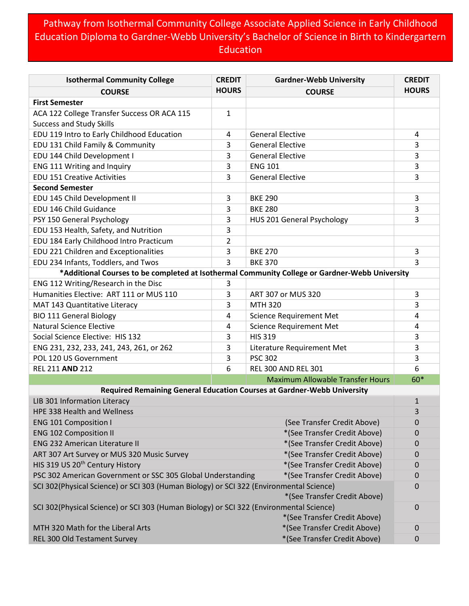## Pathway from Isothermal Community College Associate Applied Science in Early Childhood Education Diploma to Gardner-Webb University's Bachelor of Science in Birth to Kindergartern Education

| <b>Isothermal Community College</b>                                                                    | <b>CREDIT</b>  | <b>Gardner-Webb University</b>                                          | <b>CREDIT</b>    |  |
|--------------------------------------------------------------------------------------------------------|----------------|-------------------------------------------------------------------------|------------------|--|
| <b>COURSE</b>                                                                                          | <b>HOURS</b>   | <b>COURSE</b>                                                           | <b>HOURS</b>     |  |
| <b>First Semester</b>                                                                                  |                |                                                                         |                  |  |
| ACA 122 College Transfer Success OR ACA 115                                                            | $\mathbf{1}$   |                                                                         |                  |  |
| <b>Success and Study Skills</b>                                                                        |                |                                                                         |                  |  |
| EDU 119 Intro to Early Childhood Education                                                             | 4              | <b>General Elective</b>                                                 | 4                |  |
| EDU 131 Child Family & Community                                                                       | 3              | <b>General Elective</b>                                                 | 3                |  |
| EDU 144 Child Development I                                                                            | 3              | <b>General Elective</b>                                                 | 3                |  |
| ENG 111 Writing and Inquiry                                                                            | 3              | <b>ENG 101</b>                                                          | 3                |  |
| <b>EDU 151 Creative Activities</b>                                                                     | 3              | <b>General Elective</b>                                                 | 3                |  |
| <b>Second Semester</b>                                                                                 |                |                                                                         |                  |  |
| EDU 145 Child Development II                                                                           | 3              | <b>BKE 290</b>                                                          | 3                |  |
| EDU 146 Child Guidance                                                                                 | 3              | <b>BKE 280</b>                                                          | 3                |  |
| PSY 150 General Psychology                                                                             | 3              | HUS 201 General Psychology                                              | 3                |  |
| EDU 153 Health, Safety, and Nutrition                                                                  | 3              |                                                                         |                  |  |
| EDU 184 Early Childhood Intro Practicum                                                                | $\overline{2}$ |                                                                         |                  |  |
| EDU 221 Children and Exceptionalities                                                                  | 3              | <b>BKE 270</b>                                                          | 3                |  |
| EDU 234 Infants, Toddlers, and Twos                                                                    | 3              | <b>BKE 370</b>                                                          | 3                |  |
| *Additional Courses to be completed at Isothermal Community College or Gardner-Webb University         |                |                                                                         |                  |  |
| ENG 112 Writing/Research in the Disc                                                                   | 3              |                                                                         |                  |  |
| Humanities Elective: ART 111 or MUS 110                                                                | 3              | ART 307 or MUS 320                                                      | 3                |  |
| MAT 143 Quantitative Literacy                                                                          | 3              | <b>MTH 320</b>                                                          | 3                |  |
| <b>BIO 111 General Biology</b>                                                                         | 4              | <b>Science Requirement Met</b>                                          | 4                |  |
| <b>Natural Science Elective</b>                                                                        | 4              | <b>Science Requirement Met</b>                                          | 4                |  |
| Social Science Elective: HIS 132                                                                       | 3              | <b>HIS 319</b>                                                          | 3                |  |
| ENG 231, 232, 233, 241, 243, 261, or 262                                                               | 3              | Literature Requirement Met                                              | 3                |  |
| POL 120 US Government                                                                                  | 3              | <b>PSC 302</b>                                                          | 3                |  |
| REL 211 AND 212                                                                                        | 6              | <b>REL 300 AND REL 301</b>                                              | 6                |  |
|                                                                                                        |                | <b>Maximum Allowable Transfer Hours</b>                                 | 60*              |  |
|                                                                                                        |                | Required Remaining General Education Courses at Gardner-Webb University |                  |  |
| LIB 301 Information Literacy                                                                           |                |                                                                         | $\mathbf{1}$     |  |
| HPE 338 Health and Wellness                                                                            |                |                                                                         | 3                |  |
| <b>ENG 101 Composition I</b><br>(See Transfer Credit Above)                                            |                | 0                                                                       |                  |  |
| <b>ENG 102 Composition II</b>                                                                          |                | *(See Transfer Credit Above)                                            | $\boldsymbol{0}$ |  |
| <b>ENG 232 American Literature II</b>                                                                  |                | *(See Transfer Credit Above)                                            | $\mathbf 0$      |  |
| ART 307 Art Survey or MUS 320 Music Survey<br>*(See Transfer Credit Above)                             |                |                                                                         | 0                |  |
| HIS 319 US 20 <sup>th</sup> Century History<br>*(See Transfer Credit Above)                            |                |                                                                         | $\mathbf 0$      |  |
| PSC 302 American Government or SSC 305 Global Understanding                                            |                | *(See Transfer Credit Above)                                            | $\mathbf 0$      |  |
| SCI 302(Physical Science) or SCI 303 (Human Biology) or SCI 322 (Environmental Science)<br>$\mathbf 0$ |                |                                                                         |                  |  |
| *(See Transfer Credit Above)                                                                           |                |                                                                         |                  |  |
| SCI 302(Physical Science) or SCI 303 (Human Biology) or SCI 322 (Environmental Science)<br>$\mathbf 0$ |                |                                                                         |                  |  |
|                                                                                                        |                | *(See Transfer Credit Above)                                            |                  |  |
| MTH 320 Math for the Liberal Arts                                                                      |                | *(See Transfer Credit Above)                                            | 0                |  |
| REL 300 Old Testament Survey                                                                           |                | *(See Transfer Credit Above)                                            | $\mathbf 0$      |  |